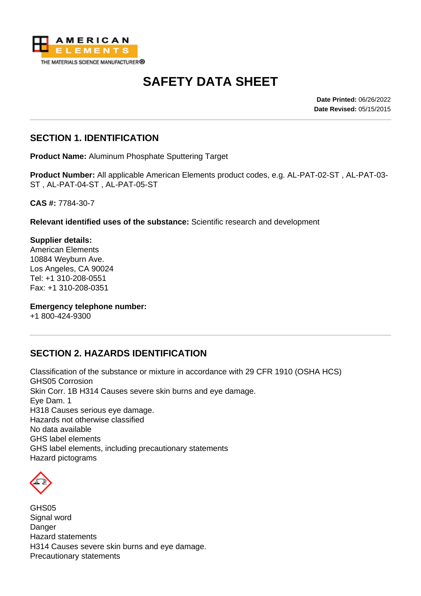

# **SAFETY DATA SHEET**

**Date Printed:** 06/26/2022 **Date Revised:** 05/15/2015

#### **SECTION 1. IDENTIFICATION**

**Product Name:** Aluminum Phosphate Sputtering Target

**Product Number:** All applicable American Elements product codes, e.g. AL-PAT-02-ST , AL-PAT-03- ST , AL-PAT-04-ST , AL-PAT-05-ST

**CAS #:** 7784-30-7

**Relevant identified uses of the substance:** Scientific research and development

**Supplier details:** American Elements 10884 Weyburn Ave. Los Angeles, CA 90024 Tel: +1 310-208-0551 Fax: +1 310-208-0351

**Emergency telephone number:**

+1 800-424-9300

#### **SECTION 2. HAZARDS IDENTIFICATION**

Classification of the substance or mixture in accordance with 29 CFR 1910 (OSHA HCS) GHS05 Corrosion Skin Corr. 1B H314 Causes severe skin burns and eye damage. Eye Dam. 1 H318 Causes serious eye damage. Hazards not otherwise classified No data available GHS label elements GHS label elements, including precautionary statements Hazard pictograms



GHS05 Signal word Danger Hazard statements H314 Causes severe skin burns and eye damage. Precautionary statements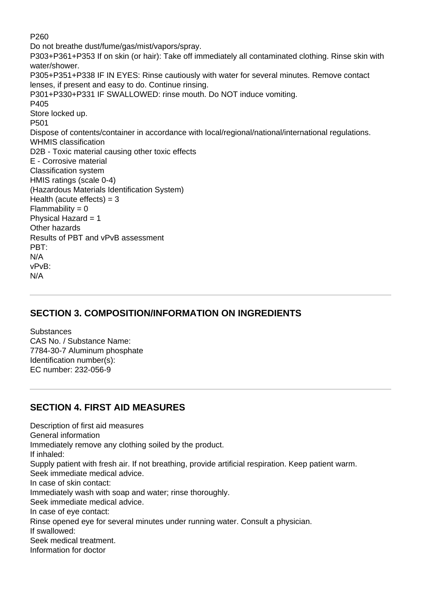P260 Do not breathe dust/fume/gas/mist/vapors/spray. P303+P361+P353 If on skin (or hair): Take off immediately all contaminated clothing. Rinse skin with water/shower. P305+P351+P338 IF IN EYES: Rinse cautiously with water for several minutes. Remove contact lenses, if present and easy to do. Continue rinsing. P301+P330+P331 IF SWALLOWED: rinse mouth. Do NOT induce vomiting. P405 Store locked up. P501 Dispose of contents/container in accordance with local/regional/national/international regulations. WHMIS classification D2B - Toxic material causing other toxic effects E - Corrosive material Classification system HMIS ratings (scale 0-4) (Hazardous Materials Identification System) Health (acute effects)  $=$  3  $Flammability = 0$ Physical Hazard  $= 1$ Other hazards Results of PBT and vPvB assessment PBT: N/A vPvB: N/A

## **SECTION 3. COMPOSITION/INFORMATION ON INGREDIENTS**

**Substances** CAS No. / Substance Name: 7784-30-7 Aluminum phosphate Identification number(s): EC number: 232-056-9

#### **SECTION 4. FIRST AID MEASURES**

Description of first aid measures General information Immediately remove any clothing soiled by the product. If inhaled: Supply patient with fresh air. If not breathing, provide artificial respiration. Keep patient warm. Seek immediate medical advice. In case of skin contact: Immediately wash with soap and water; rinse thoroughly. Seek immediate medical advice. In case of eye contact: Rinse opened eye for several minutes under running water. Consult a physician. If swallowed: Seek medical treatment. Information for doctor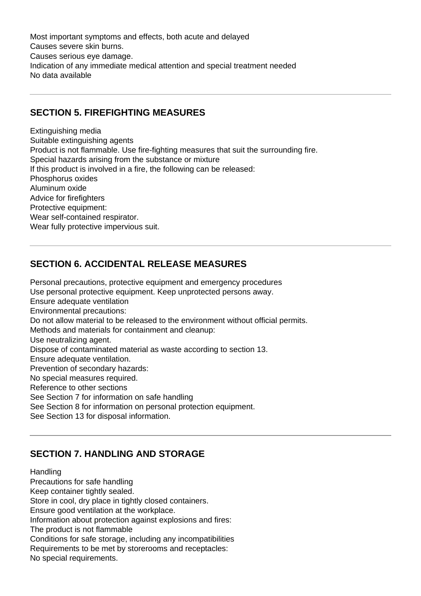Most important symptoms and effects, both acute and delayed Causes severe skin burns. Causes serious eye damage. Indication of any immediate medical attention and special treatment needed No data available

#### **SECTION 5. FIREFIGHTING MEASURES**

Extinguishing media Suitable extinguishing agents Product is not flammable. Use fire-fighting measures that suit the surrounding fire. Special hazards arising from the substance or mixture If this product is involved in a fire, the following can be released: Phosphorus oxides Aluminum oxide Advice for firefighters Protective equipment: Wear self-contained respirator. Wear fully protective impervious suit.

#### **SECTION 6. ACCIDENTAL RELEASE MEASURES**

Personal precautions, protective equipment and emergency procedures Use personal protective equipment. Keep unprotected persons away. Ensure adequate ventilation Environmental precautions: Do not allow material to be released to the environment without official permits. Methods and materials for containment and cleanup: Use neutralizing agent. Dispose of contaminated material as waste according to section 13. Ensure adequate ventilation. Prevention of secondary hazards: No special measures required. Reference to other sections See Section 7 for information on safe handling See Section 8 for information on personal protection equipment. See Section 13 for disposal information.

## **SECTION 7. HANDLING AND STORAGE**

Handling Precautions for safe handling Keep container tightly sealed. Store in cool, dry place in tightly closed containers. Ensure good ventilation at the workplace. Information about protection against explosions and fires: The product is not flammable Conditions for safe storage, including any incompatibilities Requirements to be met by storerooms and receptacles: No special requirements.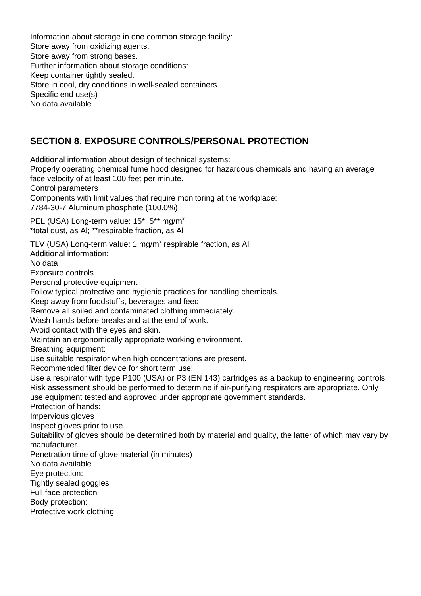Information about storage in one common storage facility: Store away from oxidizing agents. Store away from strong bases. Further information about storage conditions: Keep container tightly sealed. Store in cool, dry conditions in well-sealed containers. Specific end use(s) No data available

#### **SECTION 8. EXPOSURE CONTROLS/PERSONAL PROTECTION**

Additional information about design of technical systems: Properly operating chemical fume hood designed for hazardous chemicals and having an average face velocity of at least 100 feet per minute. Control parameters Components with limit values that require monitoring at the workplace: 7784-30-7 Aluminum phosphate (100.0%) PEL (USA) Long-term value: 15\*, 5\*\* mg/m<sup>3</sup> \*total dust, as Al; \*\*respirable fraction, as Al TLV (USA) Long-term value: 1 mg/m $^3$  respirable fraction, as Al Additional information: No data Exposure controls Personal protective equipment Follow typical protective and hygienic practices for handling chemicals. Keep away from foodstuffs, beverages and feed. Remove all soiled and contaminated clothing immediately. Wash hands before breaks and at the end of work. Avoid contact with the eyes and skin. Maintain an ergonomically appropriate working environment. Breathing equipment: Use suitable respirator when high concentrations are present. Recommended filter device for short term use: Use a respirator with type P100 (USA) or P3 (EN 143) cartridges as a backup to engineering controls. Risk assessment should be performed to determine if air-purifying respirators are appropriate. Only use equipment tested and approved under appropriate government standards. Protection of hands: Impervious gloves Inspect gloves prior to use. Suitability of gloves should be determined both by material and quality, the latter of which may vary by manufacturer. Penetration time of glove material (in minutes) No data available Eye protection: Tightly sealed goggles Full face protection Body protection: Protective work clothing.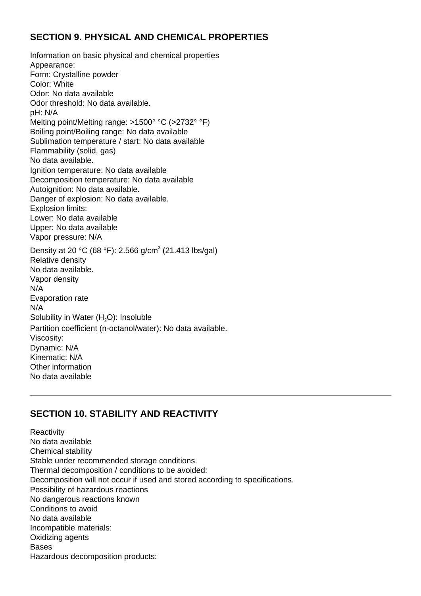#### **SECTION 9. PHYSICAL AND CHEMICAL PROPERTIES**

Information on basic physical and chemical properties Appearance: Form: Crystalline powder Color: White Odor: No data available Odor threshold: No data available. pH: N/A Melting point/Melting range: >1500° °C (>2732° °F) Boiling point/Boiling range: No data available Sublimation temperature / start: No data available Flammability (solid, gas) No data available. Ignition temperature: No data available Decomposition temperature: No data available Autoignition: No data available. Danger of explosion: No data available. Explosion limits: Lower: No data available Upper: No data available Vapor pressure: N/A Density at 20 °C (68 °F): 2.566 g/cm<sup>3</sup> (21.413 lbs/gal) Relative density No data available. Vapor density N/A Evaporation rate N/A Solubility in Water  $(H<sub>2</sub>O)$ : Insoluble Partition coefficient (n-octanol/water): No data available. Viscosity: Dynamic: N/A Kinematic: N/A Other information No data available

# **SECTION 10. STABILITY AND REACTIVITY**

**Reactivity** No data available Chemical stability Stable under recommended storage conditions. Thermal decomposition / conditions to be avoided: Decomposition will not occur if used and stored according to specifications. Possibility of hazardous reactions No dangerous reactions known Conditions to avoid No data available Incompatible materials: Oxidizing agents Bases Hazardous decomposition products: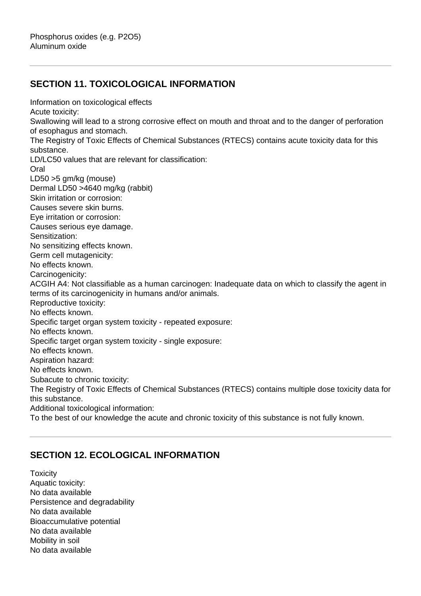## **SECTION 11. TOXICOLOGICAL INFORMATION**

Information on toxicological effects Acute toxicity: Swallowing will lead to a strong corrosive effect on mouth and throat and to the danger of perforation of esophagus and stomach. The Registry of Toxic Effects of Chemical Substances (RTECS) contains acute toxicity data for this substance. LD/LC50 values that are relevant for classification: Oral LD50 >5 gm/kg (mouse) Dermal LD50 >4640 mg/kg (rabbit) Skin irritation or corrosion: Causes severe skin burns. Eye irritation or corrosion: Causes serious eye damage. Sensitization: No sensitizing effects known. Germ cell mutagenicity: No effects known. Carcinogenicity: ACGIH A4: Not classifiable as a human carcinogen: Inadequate data on which to classify the agent in terms of its carcinogenicity in humans and/or animals. Reproductive toxicity: No effects known. Specific target organ system toxicity - repeated exposure: No effects known. Specific target organ system toxicity - single exposure: No effects known. Aspiration hazard: No effects known. Subacute to chronic toxicity: The Registry of Toxic Effects of Chemical Substances (RTECS) contains multiple dose toxicity data for this substance. Additional toxicological information: To the best of our knowledge the acute and chronic toxicity of this substance is not fully known.

## **SECTION 12. ECOLOGICAL INFORMATION**

**Toxicity** Aquatic toxicity: No data available Persistence and degradability No data available Bioaccumulative potential No data available Mobility in soil No data available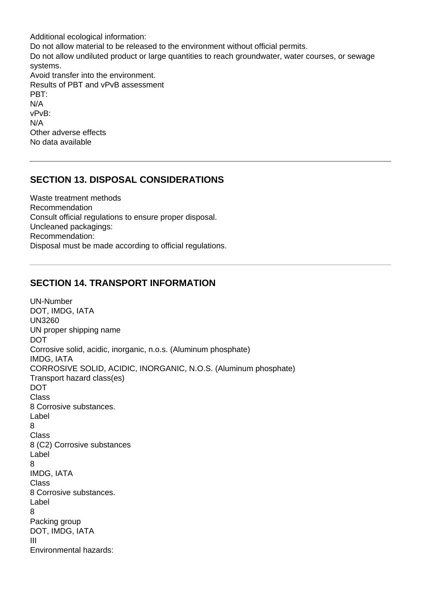Additional ecological information: Do not allow material to be released to the environment without official permits. Do not allow undiluted product or large quantities to reach groundwater, water courses, or sewage systems. Avoid transfer into the environment. Results of PBT and vPvB assessment PBT: N/A vPvB: N/A Other adverse effects No data available

#### **SECTION 13. DISPOSAL CONSIDERATIONS**

Waste treatment methods Recommendation Consult official regulations to ensure proper disposal. Uncleaned packagings: Recommendation: Disposal must be made according to official regulations.

#### **SECTION 14. TRANSPORT INFORMATION**

UN-Number DOT, IMDG, IATA UN3260 UN proper shipping name DOT Corrosive solid, acidic, inorganic, n.o.s. (Aluminum phosphate) IMDG, IATA CORROSIVE SOLID, ACIDIC, INORGANIC, N.O.S. (Aluminum phosphate) Transport hazard class(es) DOT Class 8 Corrosive substances. Label 8 Class 8 (C2) Corrosive substances Label 8 IMDG, IATA Class 8 Corrosive substances. Label 8 Packing group DOT, IMDG, IATA III Environmental hazards: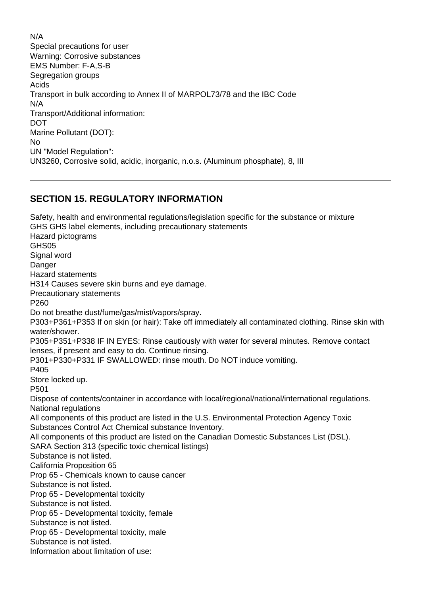N/A Special precautions for user Warning: Corrosive substances EMS Number: F-A,S-B Segregation groups Acids Transport in bulk according to Annex II of MARPOL73/78 and the IBC Code N/A Transport/Additional information: DOT Marine Pollutant (DOT): No UN "Model Regulation": UN3260, Corrosive solid, acidic, inorganic, n.o.s. (Aluminum phosphate), 8, III

## **SECTION 15. REGULATORY INFORMATION**

Safety, health and environmental regulations/legislation specific for the substance or mixture GHS GHS label elements, including precautionary statements Hazard pictograms GHS05 Signal word **Danger** Hazard statements H314 Causes severe skin burns and eye damage. Precautionary statements P260 Do not breathe dust/fume/gas/mist/vapors/spray. P303+P361+P353 If on skin (or hair): Take off immediately all contaminated clothing. Rinse skin with water/shower. P305+P351+P338 IF IN EYES: Rinse cautiously with water for several minutes. Remove contact lenses, if present and easy to do. Continue rinsing. P301+P330+P331 IF SWALLOWED: rinse mouth. Do NOT induce vomiting. P405 Store locked up. P501 Dispose of contents/container in accordance with local/regional/national/international regulations. National regulations All components of this product are listed in the U.S. Environmental Protection Agency Toxic Substances Control Act Chemical substance Inventory. All components of this product are listed on the Canadian Domestic Substances List (DSL). SARA Section 313 (specific toxic chemical listings) Substance is not listed. California Proposition 65 Prop 65 - Chemicals known to cause cancer Substance is not listed. Prop 65 - Developmental toxicity Substance is not listed. Prop 65 - Developmental toxicity, female Substance is not listed. Prop 65 - Developmental toxicity, male Substance is not listed. Information about limitation of use: